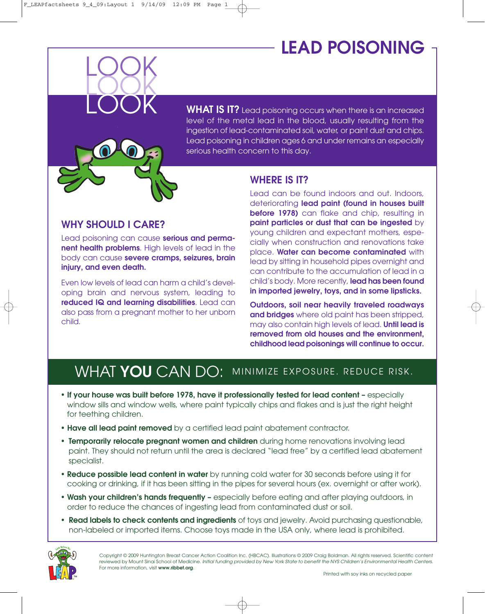# **LEAD POISONING**

**WHAT IS IT?** Lead poisoning occurs when there is an increased level of the metal lead in the blood, usually resulting from the ingestion of lead-contaminated soil, water, or paint dust and chips. Lead poisoning in children ages 6 and under remains an especially serious health concern to this day.

### **WHERE IS IT?**

#### **WHY SHOULD I CARE?**

LOOK

LOOK LOOK

Lead poisoning can cause **serious and permanent health problems**. High levels of lead in the body can cause **severe cramps, seizures, brain injury, and even death.**

Even low levels of lead can harm a child's developing brain and nervous system, leading to **reduced IQ and learning disabilities**. Lead can also pass from a pregnant mother to her unborn child.

Lead can be found indoors and out. Indoors, deteriorating **lead paint (found in houses built before 1978)** can flake and chip, resulting in **paint particles or dust that can be ingested** by young children and expectant mothers, especially when construction and renovations take place. **Water can become contaminated** with lead by sitting in household pipes overnight and can contribute to the accumulation of lead in a child's body. More recently, **lead has been found in imported jewelry, toys, and in some lipsticks.**

**Outdoors, soil near heavily traveled roadways and bridges** where old paint has been stripped, may also contain high levels of lead. **Until lead is removed from old houses and the environment, childhood lead poisonings will continue to occur.**

### WHAT YOU CAN DO: MINIMIZE EXPOSURE. REDUCE RISK.

- **• If your house was built before 1978, have it professionally tested for lead content –** especially window sills and window wells, where paint typically chips and flakes and is just the right height for teething children.
- **• Have all lead paint removed** by a certified lead paint abatement contractor.
- **• Temporarily relocate pregnant women and children** during home renovations involving lead paint. They should not return until the area is declared "lead free" by a certified lead abatement specialist.
- **• Reduce possible lead content in water** by running cold water for 30 seconds before using it for cooking or drinking, if it has been sitting in the pipes for several hours (ex. overnight or after work).
- **• Wash your children's hands frequently –** especially before eating and after playing outdoors, in order to reduce the chances of ingesting lead from contaminated dust or soil.
- **• Read labels to check contents and ingredients** of toys and jewelry. Avoid purchasing questionable, non-labeled or imported items. Choose toys made in the USA only, where lead is prohibited.

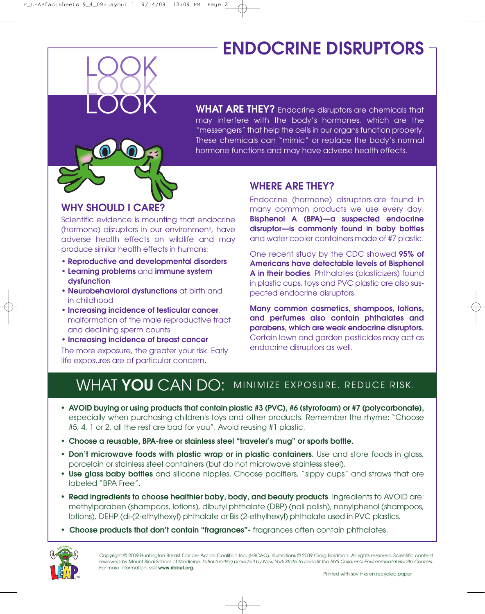## **ENDOCRINE DISRUPTORS**

**WHAT ARE THEY?** Endocrine disruptors are chemicals that may interfere with the body's hormones, which are the "messengers" that help the cells in our organs function properly. These chemicals can "mimic" or replace the body's normal hormone functions and may have adverse health effects.

### **WHY SHOULD I CARE?**

LOOK

LOOK LOOK

Scientific evidence is mounting that endocrine (hormone) disruptors in our environment, have adverse health effects on wildlife and may produce similar health effects in humans:

- **• Reproductive and developmental disorders**
- **• Learning problems** and **immune system dysfunction**
- **Neurobehavioral dysfunctions** at birth and in childhood
- **• Increasing incidence of testicular cancer**, malformation of the male reproductive tract and declining sperm counts
- **• Increasing incidence of breast cancer** The more exposure, the greater your risk. Early life exposures are of particular concern.

### **WHERE ARE THEY?**

Endocrine (hormone) disruptors are found in many common products we use every day. **Bisphenol A (BPA)—a suspected endocrine disruptor—is commonly found in baby bottles** and water cooler containers made of #7 plastic.

One recent study by the CDC showed **95% of Americans have detectable levels of Bisphenol A in their bodies**. Phthalates (plasticizers) found in plastic cups, toys and PVC plastic are also suspected endocrine disruptors.

**Many common cosmetics, shampoos, lotions, and perfumes also contain phthalates and parabens, which are weak endocrine disruptors.** Certain lawn and garden pesticides may act as endocrine disruptors as well.

## WHAT YOU CAN DO: MINIMIZE EXPOSURE. REDUCE RISK.

- **• AVOID buying or using products that contain plastic #3 (PVC), #6 (styrofoam) or #7 (polycarbonate),** especially when purchasing children's toys and other products. Remember the rhyme: "Choose #5, 4, 1 or 2, all the rest are bad for you". Avoid reusing #1 plastic.
- **• Choose a reusable, BPA-free or stainless steel "traveler's mug" or sports bottle.**
- **• Don't microwave foods with plastic wrap or in plastic containers.** Use and store foods in glass, porcelain or stainless steel containers (but do not microwave stainless steel).
- **• Use glass baby bottles** and silicone nipples. Choose pacifiers, "sippy cups" and straws that are labeled "BPA Free".
- **• Read ingredients to choose healthier baby, body, and beauty products**. Ingredients to AVOID are: methylparaben (shampoos, lotions), dibutyl phthalate (DBP) (nail polish), nonylphenol (shampoos, lotions), DEHP (di-(2-ethylhexyl) phthalate or Bis (2-ethylhexyl) phthalate used in PVC plastics.
- **• Choose products that don't contain "fragrances"-** fragrances often contain phthalates.

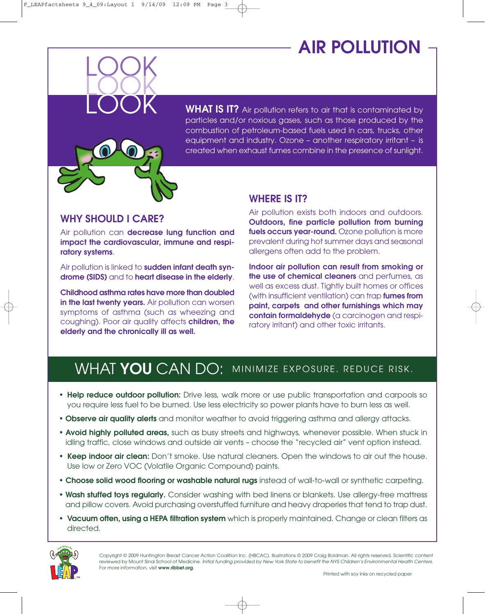# **AIR POLLUTION**



#### **WHY SHOULD I CARE?**

LOOK

LOOK LOOK

Air pollution can **decrease lung function and impact the cardiovascular, immune and respiratory systems**.

Air pollution is linked to **sudden infant death syndrome (SIDS)** and to **heart disease in the elderly**.

**Childhood asthma rates have more than doubled in the last twenty years.** Air pollution can worsen symptoms of asthma (such as wheezing and coughing). Poor air quality affects **children, the elderly and the chronically ill as well.**

#### **WHERE IS IT?**

Air pollution exists both indoors and outdoors. **Outdoors, fine particle pollution from burning fuels occurs year-round.** Ozone pollution is more prevalent during hot summer days and seasonal allergens often add to the problem.

**Indoor air pollution can result from smoking or the use of chemical cleaners** and perfumes, as well as excess dust. Tightly built homes or offices (with insufficient ventilation) can trap **fumes from paint, carpets and other furnishings which may contain formaldehyde** (a carcinogen and respiratory irritant) and other toxic irritants.

### WHAT YOU CAN DO: MINIMIZE EXPOSURE. REDUCE RISK.

- **• Help reduce outdoor pollution:** Drive less, walk more or use public transportation and carpools so you require less fuel to be burned. Use less electricity so power plants have to burn less as well.
- **• Observe air quality alerts** and monitor weather to avoid triggering asthma and allergy attacks.
- **• Avoid highly polluted areas,** such as busy streets and highways, whenever possible. When stuck in idling traffic, close windows and outside air vents – choose the "recycled air" vent option instead.
- **• Keep indoor air clean:** Don't smoke. Use natural cleaners. Open the windows to air out the house. Use low or Zero VOC (Volatile Organic Compound) paints.
- **• Choose solid wood flooring or washable natural rugs** instead of wall-to-wall or synthetic carpeting.
- **• Wash stuffed toys regularly.** Consider washing with bed linens or blankets. Use allergy-free mattress and pillow covers. Avoid purchasing overstuffed furniture and heavy draperies that tend to trap dust.
- **• Vacuum often, using a HEPA filtration system** which is properly maintained. Change or clean filters as directed.